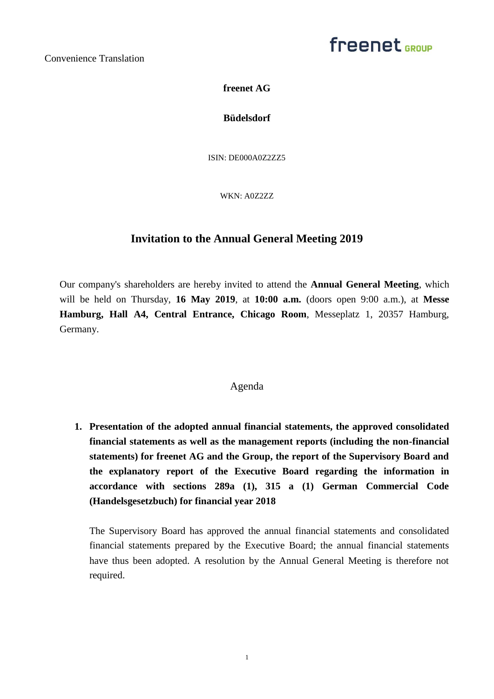# freenet <sub>GROUP</sub>

**freenet AG**

**Büdelsdorf**

ISIN: DE000A0Z2ZZ5

WKN: A0Z2ZZ

# **Invitation to the Annual General Meeting 2019**

Our company's shareholders are hereby invited to attend the **Annual General Meeting**, which will be held on Thursday, **16 May 2019**, at **10:00 a.m.** (doors open 9:00 a.m.), at **Messe Hamburg, Hall A4, Central Entrance, Chicago Room**, Messeplatz 1, 20357 Hamburg, Germany.

## Agenda

**1. Presentation of the adopted annual financial statements, the approved consolidated financial statements as well as the management reports (including the non-financial statements) for freenet AG and the Group, the report of the Supervisory Board and the explanatory report of the Executive Board regarding the information in accordance with sections 289a (1), 315 a (1) German Commercial Code (Handelsgesetzbuch) for financial year 2018** 

The Supervisory Board has approved the annual financial statements and consolidated financial statements prepared by the Executive Board; the annual financial statements have thus been adopted. A resolution by the Annual General Meeting is therefore not required.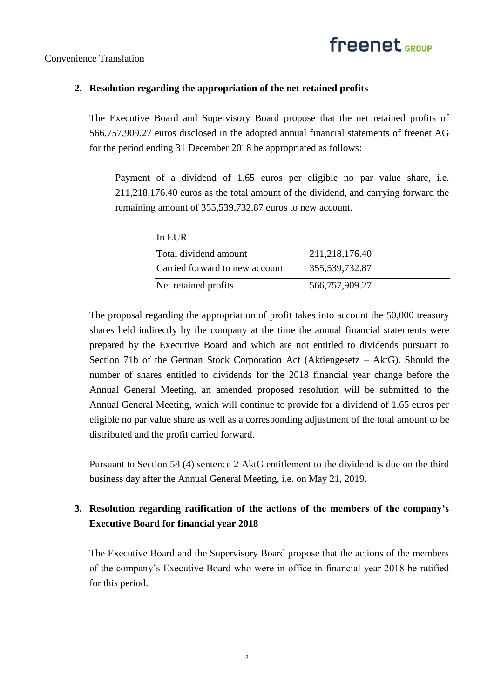

## **2. Resolution regarding the appropriation of the net retained profits**

The Executive Board and Supervisory Board propose that the net retained profits of 566,757,909.27 euros disclosed in the adopted annual financial statements of freenet AG for the period ending 31 December 2018 be appropriated as follows:

Payment of a dividend of 1.65 euros per eligible no par value share, i.e. 211,218,176.40 euros as the total amount of the dividend, and carrying forward the remaining amount of 355,539,732.87 euros to new account.

| In EUR                         |                |
|--------------------------------|----------------|
| Total dividend amount          | 211,218,176.40 |
| Carried forward to new account | 355,539,732.87 |
| Net retained profits           | 566,757,909.27 |

The proposal regarding the appropriation of profit takes into account the 50,000 treasury shares held indirectly by the company at the time the annual financial statements were prepared by the Executive Board and which are not entitled to dividends pursuant to Section 71b of the German Stock Corporation Act (Aktiengesetz – AktG). Should the number of shares entitled to dividends for the 2018 financial year change before the Annual General Meeting, an amended proposed resolution will be submitted to the Annual General Meeting, which will continue to provide for a dividend of 1.65 euros per eligible no par value share as well as a corresponding adjustment of the total amount to be distributed and the profit carried forward.

Pursuant to Section 58 (4) sentence 2 AktG entitlement to the dividend is due on the third business day after the Annual General Meeting, i.e. on May 21, 2019.

# **3. Resolution regarding ratification of the actions of the members of the company's Executive Board for financial year 2018**

The Executive Board and the Supervisory Board propose that the actions of the members of the company's Executive Board who were in office in financial year 2018 be ratified for this period.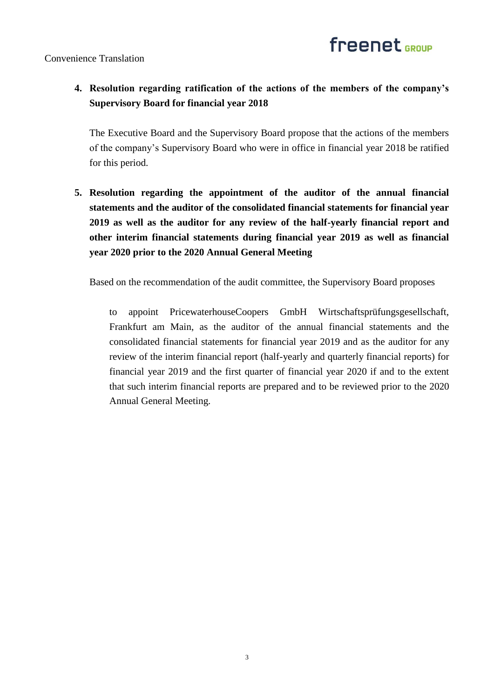

# **4. Resolution regarding ratification of the actions of the members of the company's Supervisory Board for financial year 2018**

The Executive Board and the Supervisory Board propose that the actions of the members of the company's Supervisory Board who were in office in financial year 2018 be ratified for this period.

**5. Resolution regarding the appointment of the auditor of the annual financial statements and the auditor of the consolidated financial statements for financial year 2019 as well as the auditor for any review of the half-yearly financial report and other interim financial statements during financial year 2019 as well as financial year 2020 prior to the 2020 Annual General Meeting** 

Based on the recommendation of the audit committee, the Supervisory Board proposes

to appoint PricewaterhouseCoopers GmbH Wirtschaftsprüfungsgesellschaft, Frankfurt am Main, as the auditor of the annual financial statements and the consolidated financial statements for financial year 2019 and as the auditor for any review of the interim financial report (half-yearly and quarterly financial reports) for financial year 2019 and the first quarter of financial year 2020 if and to the extent that such interim financial reports are prepared and to be reviewed prior to the 2020 Annual General Meeting.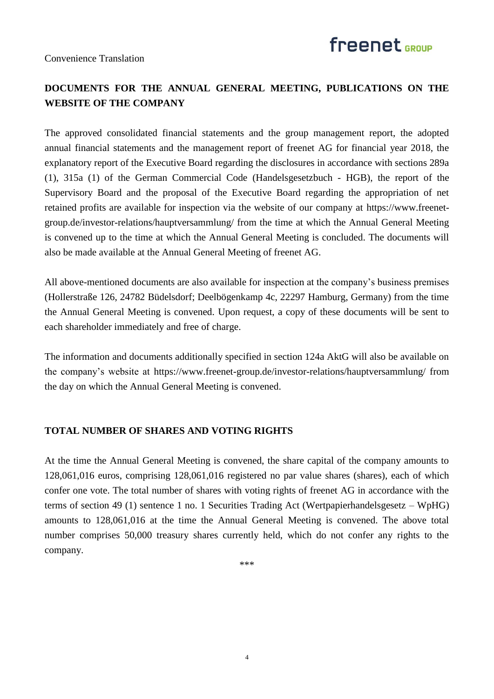



# **DOCUMENTS FOR THE ANNUAL GENERAL MEETING, PUBLICATIONS ON THE WEBSITE OF THE COMPANY**

The approved consolidated financial statements and the group management report, the adopted annual financial statements and the management report of freenet AG for financial year 2018, the explanatory report of the Executive Board regarding the disclosures in accordance with sections 289a (1), 315a (1) of the German Commercial Code (Handelsgesetzbuch - HGB), the report of the Supervisory Board and the proposal of the Executive Board regarding the appropriation of net retained profits are available for inspection via the website of our company at https://www.freenetgroup.de/investor-relations/hauptversammlung/ from the time at which the Annual General Meeting is convened up to the time at which the Annual General Meeting is concluded. The documents will also be made available at the Annual General Meeting of freenet AG.

All above-mentioned documents are also available for inspection at the company's business premises (Hollerstraße 126, 24782 Büdelsdorf; Deelbögenkamp 4c, 22297 Hamburg, Germany) from the time the Annual General Meeting is convened. Upon request, a copy of these documents will be sent to each shareholder immediately and free of charge.

The information and documents additionally specified in section 124a AktG will also be available on the company's website at https://www.freenet-group.de/investor-relations/hauptversammlung/ from the day on which the Annual General Meeting is convened.

### **TOTAL NUMBER OF SHARES AND VOTING RIGHTS**

At the time the Annual General Meeting is convened, the share capital of the company amounts to 128,061,016 euros, comprising 128,061,016 registered no par value shares (shares), each of which confer one vote. The total number of shares with voting rights of freenet AG in accordance with the terms of section 49 (1) sentence 1 no. 1 Securities Trading Act (Wertpapierhandelsgesetz – WpHG) amounts to 128,061,016 at the time the Annual General Meeting is convened. The above total number comprises 50,000 treasury shares currently held, which do not confer any rights to the company.

\*\*\*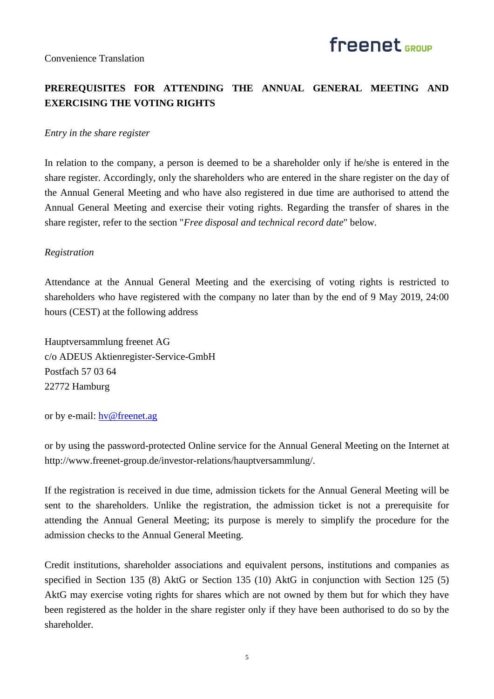# **PREREQUISITES FOR ATTENDING THE ANNUAL GENERAL MEETING AND EXERCISING THE VOTING RIGHTS**

#### *Entry in the share register*

In relation to the company, a person is deemed to be a shareholder only if he/she is entered in the share register. Accordingly, only the shareholders who are entered in the share register on the day of the Annual General Meeting and who have also registered in due time are authorised to attend the Annual General Meeting and exercise their voting rights. Regarding the transfer of shares in the share register, refer to the section "*Free disposal and technical record date*" below.

#### *Registration*

Attendance at the Annual General Meeting and the exercising of voting rights is restricted to shareholders who have registered with the company no later than by the end of 9 May 2019, 24:00 hours (CEST) at the following address

Hauptversammlung freenet AG c/o ADEUS Aktienregister-Service-GmbH Postfach 57 03 64 22772 Hamburg

or by e-mail: [hv@freenet.ag](mailto:hv@freenet.ag)

or by using the password-protected Online service for the Annual General Meeting on the Internet at http://www.freenet-group.de/investor-relations/hauptversammlung/.

If the registration is received in due time, admission tickets for the Annual General Meeting will be sent to the shareholders. Unlike the registration, the admission ticket is not a prerequisite for attending the Annual General Meeting; its purpose is merely to simplify the procedure for the admission checks to the Annual General Meeting.

Credit institutions, shareholder associations and equivalent persons, institutions and companies as specified in Section 135 (8) AktG or Section 135 (10) AktG in conjunction with Section 125 (5) AktG may exercise voting rights for shares which are not owned by them but for which they have been registered as the holder in the share register only if they have been authorised to do so by the shareholder.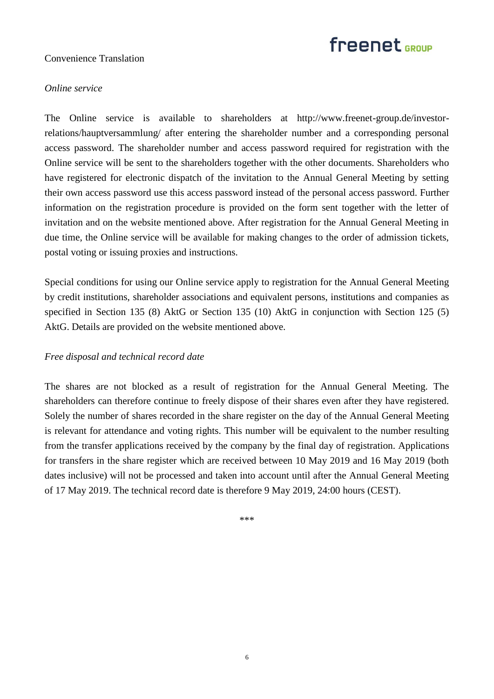

## *Online service*

The Online service is available to shareholders at http://www.freenet-group.de/investorrelations/hauptversammlung/ after entering the shareholder number and a corresponding personal access password. The shareholder number and access password required for registration with the Online service will be sent to the shareholders together with the other documents. Shareholders who have registered for electronic dispatch of the invitation to the Annual General Meeting by setting their own access password use this access password instead of the personal access password. Further information on the registration procedure is provided on the form sent together with the letter of invitation and on the website mentioned above. After registration for the Annual General Meeting in due time, the Online service will be available for making changes to the order of admission tickets, postal voting or issuing proxies and instructions.

Special conditions for using our Online service apply to registration for the Annual General Meeting by credit institutions, shareholder associations and equivalent persons, institutions and companies as specified in Section 135 (8) AktG or Section 135 (10) AktG in conjunction with Section 125 (5) AktG. Details are provided on the website mentioned above.

### *Free disposal and technical record date*

The shares are not blocked as a result of registration for the Annual General Meeting. The shareholders can therefore continue to freely dispose of their shares even after they have registered. Solely the number of shares recorded in the share register on the day of the Annual General Meeting is relevant for attendance and voting rights. This number will be equivalent to the number resulting from the transfer applications received by the company by the final day of registration. Applications for transfers in the share register which are received between 10 May 2019 and 16 May 2019 (both dates inclusive) will not be processed and taken into account until after the Annual General Meeting of 17 May 2019. The technical record date is therefore 9 May 2019, 24:00 hours (CEST).

\*\*\*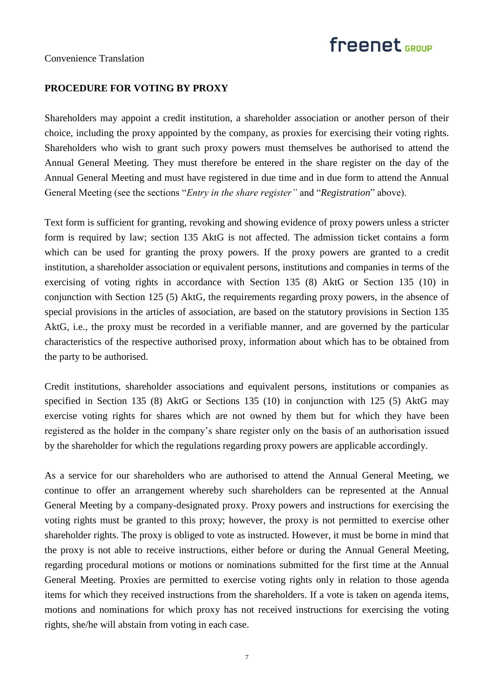Convenience Translation

## **PROCEDURE FOR VOTING BY PROXY**

Shareholders may appoint a credit institution, a shareholder association or another person of their choice, including the proxy appointed by the company, as proxies for exercising their voting rights. Shareholders who wish to grant such proxy powers must themselves be authorised to attend the Annual General Meeting. They must therefore be entered in the share register on the day of the Annual General Meeting and must have registered in due time and in due form to attend the Annual General Meeting (see the sections "*Entry in the share register"* and "*Registration*" above).

Text form is sufficient for granting, revoking and showing evidence of proxy powers unless a stricter form is required by law; section 135 AktG is not affected. The admission ticket contains a form which can be used for granting the proxy powers. If the proxy powers are granted to a credit institution, a shareholder association or equivalent persons, institutions and companies in terms of the exercising of voting rights in accordance with Section 135 (8) AktG or Section 135 (10) in conjunction with Section 125 (5) AktG, the requirements regarding proxy powers, in the absence of special provisions in the articles of association, are based on the statutory provisions in Section 135 AktG, i.e., the proxy must be recorded in a verifiable manner, and are governed by the particular characteristics of the respective authorised proxy, information about which has to be obtained from the party to be authorised.

Credit institutions, shareholder associations and equivalent persons, institutions or companies as specified in Section 135 (8) AktG or Sections 135 (10) in conjunction with 125 (5) AktG may exercise voting rights for shares which are not owned by them but for which they have been registered as the holder in the company's share register only on the basis of an authorisation issued by the shareholder for which the regulations regarding proxy powers are applicable accordingly.

As a service for our shareholders who are authorised to attend the Annual General Meeting, we continue to offer an arrangement whereby such shareholders can be represented at the Annual General Meeting by a company-designated proxy. Proxy powers and instructions for exercising the voting rights must be granted to this proxy; however, the proxy is not permitted to exercise other shareholder rights. The proxy is obliged to vote as instructed. However, it must be borne in mind that the proxy is not able to receive instructions, either before or during the Annual General Meeting, regarding procedural motions or motions or nominations submitted for the first time at the Annual General Meeting. Proxies are permitted to exercise voting rights only in relation to those agenda items for which they received instructions from the shareholders. If a vote is taken on agenda items, motions and nominations for which proxy has not received instructions for exercising the voting rights, she/he will abstain from voting in each case.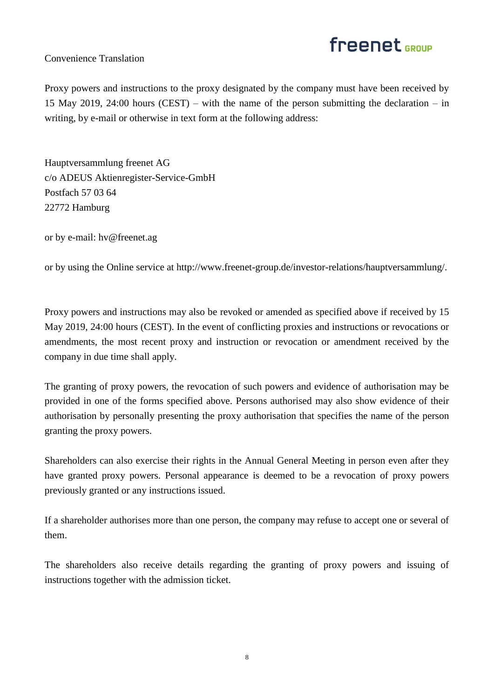

Proxy powers and instructions to the proxy designated by the company must have been received by 15 May 2019, 24:00 hours (CEST) – with the name of the person submitting the declaration – in writing, by e-mail or otherwise in text form at the following address:

Hauptversammlung freenet AG c/o ADEUS Aktienregister-Service-GmbH Postfach 57 03 64 22772 Hamburg

or by e-mail: hv@freenet.ag

or by using the Online service at http://www.freenet-group.de/investor-relations/hauptversammlung/.

Proxy powers and instructions may also be revoked or amended as specified above if received by 15 May 2019, 24:00 hours (CEST). In the event of conflicting proxies and instructions or revocations or amendments, the most recent proxy and instruction or revocation or amendment received by the company in due time shall apply.

The granting of proxy powers, the revocation of such powers and evidence of authorisation may be provided in one of the forms specified above. Persons authorised may also show evidence of their authorisation by personally presenting the proxy authorisation that specifies the name of the person granting the proxy powers.

Shareholders can also exercise their rights in the Annual General Meeting in person even after they have granted proxy powers. Personal appearance is deemed to be a revocation of proxy powers previously granted or any instructions issued.

If a shareholder authorises more than one person, the company may refuse to accept one or several of them.

The shareholders also receive details regarding the granting of proxy powers and issuing of instructions together with the admission ticket.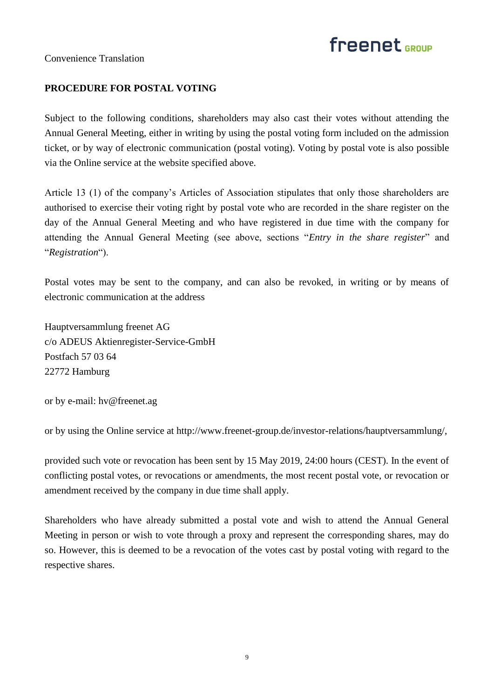# freenet <sub>GROUP</sub>

Convenience Translation

# **PROCEDURE FOR POSTAL VOTING**

Subject to the following conditions, shareholders may also cast their votes without attending the Annual General Meeting, either in writing by using the postal voting form included on the admission ticket, or by way of electronic communication (postal voting). Voting by postal vote is also possible via the Online service at the website specified above.

Article 13 (1) of the company's Articles of Association stipulates that only those shareholders are authorised to exercise their voting right by postal vote who are recorded in the share register on the day of the Annual General Meeting and who have registered in due time with the company for attending the Annual General Meeting (see above, sections "*Entry in the share register*" and "*Registration*").

Postal votes may be sent to the company, and can also be revoked, in writing or by means of electronic communication at the address

Hauptversammlung freenet AG c/o ADEUS Aktienregister-Service-GmbH Postfach 57 03 64 22772 Hamburg

or by e-mail: hv@freenet.ag

or by using the Online service at http://www.freenet-group.de/investor-relations/hauptversammlung/,

provided such vote or revocation has been sent by 15 May 2019, 24:00 hours (CEST). In the event of conflicting postal votes, or revocations or amendments, the most recent postal vote, or revocation or amendment received by the company in due time shall apply.

Shareholders who have already submitted a postal vote and wish to attend the Annual General Meeting in person or wish to vote through a proxy and represent the corresponding shares, may do so. However, this is deemed to be a revocation of the votes cast by postal voting with regard to the respective shares.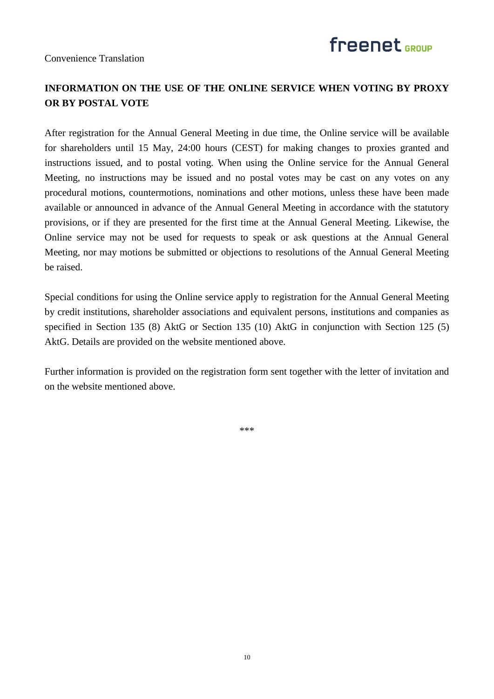

# **INFORMATION ON THE USE OF THE ONLINE SERVICE WHEN VOTING BY PROXY OR BY POSTAL VOTE**

After registration for the Annual General Meeting in due time, the Online service will be available for shareholders until 15 May, 24:00 hours (CEST) for making changes to proxies granted and instructions issued, and to postal voting. When using the Online service for the Annual General Meeting, no instructions may be issued and no postal votes may be cast on any votes on any procedural motions, countermotions, nominations and other motions, unless these have been made available or announced in advance of the Annual General Meeting in accordance with the statutory provisions, or if they are presented for the first time at the Annual General Meeting. Likewise, the Online service may not be used for requests to speak or ask questions at the Annual General Meeting, nor may motions be submitted or objections to resolutions of the Annual General Meeting be raised.

Special conditions for using the Online service apply to registration for the Annual General Meeting by credit institutions, shareholder associations and equivalent persons, institutions and companies as specified in Section 135 (8) AktG or Section 135 (10) AktG in conjunction with Section 125 (5) AktG. Details are provided on the website mentioned above.

Further information is provided on the registration form sent together with the letter of invitation and on the website mentioned above.

\*\*\*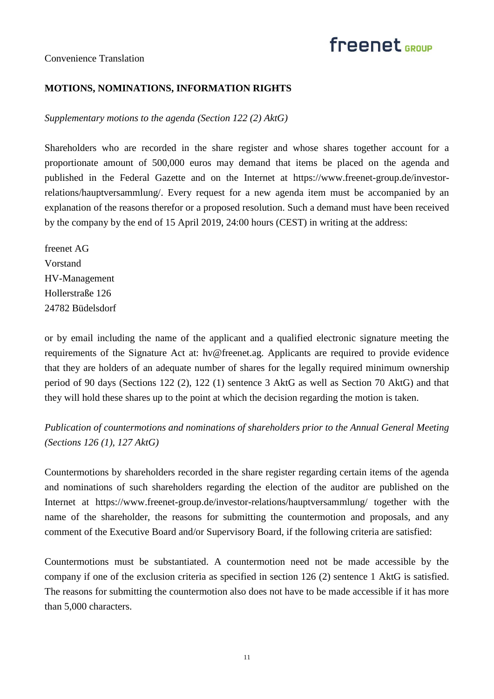

### **MOTIONS, NOMINATIONS, INFORMATION RIGHTS**

*Supplementary motions to the agenda (Section 122 (2) AktG)*

Shareholders who are recorded in the share register and whose shares together account for a proportionate amount of 500,000 euros may demand that items be placed on the agenda and published in the Federal Gazette and on the Internet at https://www.freenet-group.de/investorrelations/hauptversammlung/. Every request for a new agenda item must be accompanied by an explanation of the reasons therefor or a proposed resolution. Such a demand must have been received by the company by the end of 15 April 2019, 24:00 hours (CEST) in writing at the address:

freenet AG Vorstand HV-Management Hollerstraße 126 24782 Büdelsdorf

or by email including the name of the applicant and a qualified electronic signature meeting the requirements of the Signature Act at: hv@freenet.ag. Applicants are required to provide evidence that they are holders of an adequate number of shares for the legally required minimum ownership period of 90 days (Sections 122 (2), 122 (1) sentence 3 AktG as well as Section 70 AktG) and that they will hold these shares up to the point at which the decision regarding the motion is taken.

*Publication of countermotions and nominations of shareholders prior to the Annual General Meeting (Sections 126 (1), 127 AktG)*

Countermotions by shareholders recorded in the share register regarding certain items of the agenda and nominations of such shareholders regarding the election of the auditor are published on the Internet at https://www.freenet-group.de/investor-relations/hauptversammlung/ together with the name of the shareholder, the reasons for submitting the countermotion and proposals, and any comment of the Executive Board and/or Supervisory Board, if the following criteria are satisfied:

Countermotions must be substantiated. A countermotion need not be made accessible by the company if one of the exclusion criteria as specified in section 126 (2) sentence 1 AktG is satisfied. The reasons for submitting the countermotion also does not have to be made accessible if it has more than 5,000 characters.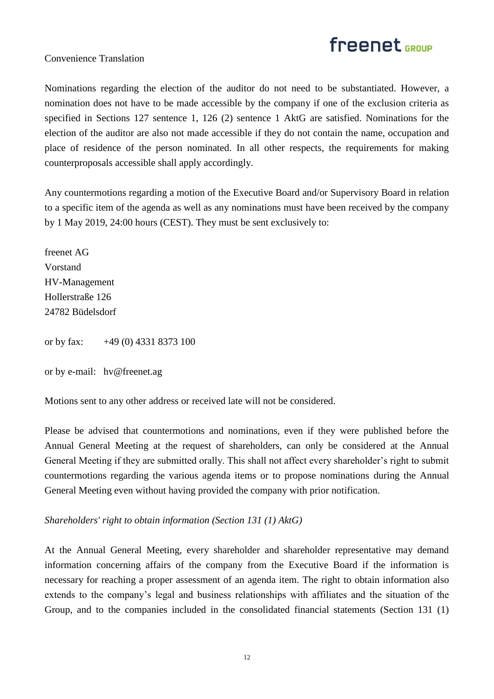## Convenience Translation

Nominations regarding the election of the auditor do not need to be substantiated. However, a nomination does not have to be made accessible by the company if one of the exclusion criteria as specified in Sections 127 sentence 1, 126 (2) sentence 1 AktG are satisfied. Nominations for the election of the auditor are also not made accessible if they do not contain the name, occupation and place of residence of the person nominated. In all other respects, the requirements for making counterproposals accessible shall apply accordingly.

Any countermotions regarding a motion of the Executive Board and/or Supervisory Board in relation to a specific item of the agenda as well as any nominations must have been received by the company by 1 May 2019, 24:00 hours (CEST). They must be sent exclusively to:

freenet AG Vorstand HV-Management Hollerstraße 126 24782 Büdelsdorf

or by fax: +49 (0) 4331 8373 100

or by e-mail: hv@freenet.ag

Motions sent to any other address or received late will not be considered.

Please be advised that countermotions and nominations, even if they were published before the Annual General Meeting at the request of shareholders, can only be considered at the Annual General Meeting if they are submitted orally. This shall not affect every shareholder's right to submit countermotions regarding the various agenda items or to propose nominations during the Annual General Meeting even without having provided the company with prior notification.

*Shareholders' right to obtain information (Section 131 (1) AktG)*

At the Annual General Meeting, every shareholder and shareholder representative may demand information concerning affairs of the company from the Executive Board if the information is necessary for reaching a proper assessment of an agenda item. The right to obtain information also extends to the company's legal and business relationships with affiliates and the situation of the Group, and to the companies included in the consolidated financial statements (Section 131 (1)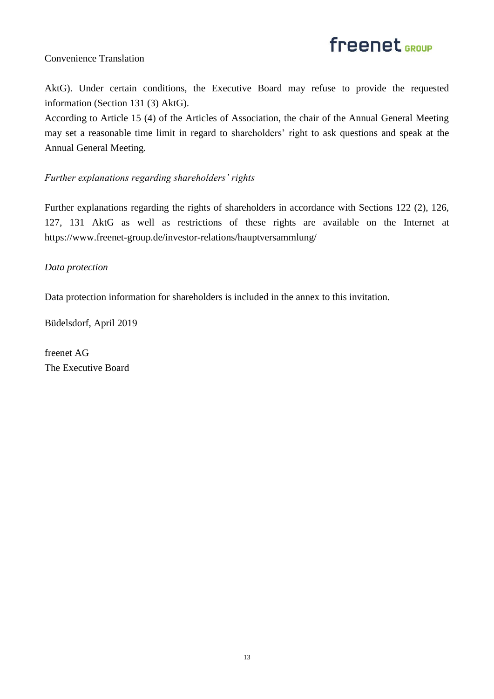

AktG). Under certain conditions, the Executive Board may refuse to provide the requested information (Section 131 (3) AktG).

According to Article 15 (4) of the Articles of Association, the chair of the Annual General Meeting may set a reasonable time limit in regard to shareholders' right to ask questions and speak at the Annual General Meeting.

## *Further explanations regarding shareholders' rights*

Further explanations regarding the rights of shareholders in accordance with Sections 122 (2), 126, 127, 131 AktG as well as restrictions of these rights are available on the Internet at https://www.freenet-group.de/investor-relations/hauptversammlung/

### *Data protection*

Data protection information for shareholders is included in the annex to this invitation.

Büdelsdorf, April 2019

freenet AG The Executive Board